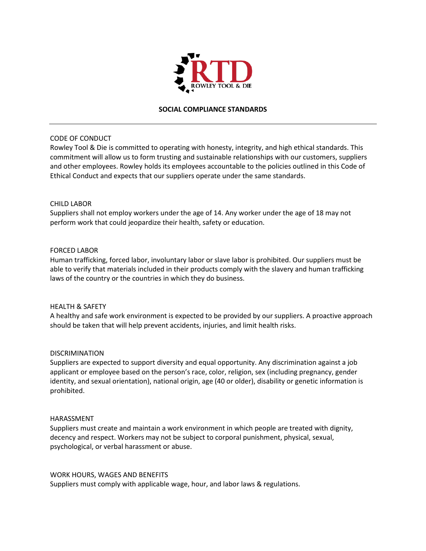

# **SOCIAL COMPLIANCE STANDARDS**

# CODE OF CONDUCT

Rowley Tool & Die is committed to operating with honesty, integrity, and high ethical standards. This commitment will allow us to form trusting and sustainable relationships with our customers, suppliers and other employees. Rowley holds its employees accountable to the policies outlined in this Code of Ethical Conduct and expects that our suppliers operate under the same standards.

# CHILD LABOR

Suppliers shall not employ workers under the age of 14. Any worker under the age of 18 may not perform work that could jeopardize their health, safety or education.

# FORCED LABOR

Human trafficking, forced labor, involuntary labor or slave labor is prohibited. Our suppliers must be able to verify that materials included in their products comply with the slavery and human trafficking laws of the country or the countries in which they do business.

#### HEALTH & SAFETY

A healthy and safe work environment is expected to be provided by our suppliers. A proactive approach should be taken that will help prevent accidents, injuries, and limit health risks.

#### DISCRIMINATION

Suppliers are expected to support diversity and equal opportunity. Any discrimination against a job applicant or employee based on the person's race, color, religion, sex (including pregnancy, gender identity, and sexual orientation), national origin, age (40 or older), disability or genetic information is prohibited.

#### HARASSMENT

Suppliers must create and maintain a work environment in which people are treated with dignity, decency and respect. Workers may not be subject to corporal punishment, physical, sexual, psychological, or verbal harassment or abuse.

#### WORK HOURS, WAGES AND BENEFITS

Suppliers must comply with applicable wage, hour, and labor laws & regulations.